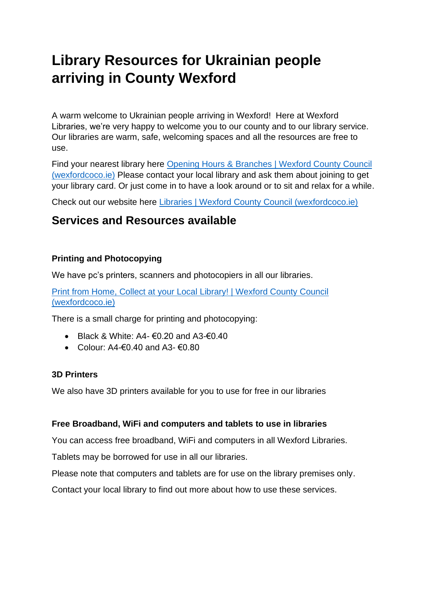# **Library Resources for Ukrainian people arriving in County Wexford**

A warm welcome to Ukrainian people arriving in Wexford! Here at Wexford Libraries, we're very happy to welcome you to our county and to our library service. Our libraries are warm, safe, welcoming spaces and all the resources are free to use.

Find your nearest library here [Opening Hours & Branches | Wexford County Council](https://www.wexfordcoco.ie/libraries/opening-hours-and-branches)  [\(wexfordcoco.ie\)](https://www.wexfordcoco.ie/libraries/opening-hours-and-branches) Please contact your local library and ask them about joining to get your library card. Or just come in to have a look around or to sit and relax for a while.

Check out our website here [Libraries | Wexford County Council \(wexfordcoco.ie\)](https://www.wexfordcoco.ie/libraries)

# **Services and Resources available**

# **Printing and Photocopying**

We have pc's printers, scanners and photocopiers in all our libraries.

[Print from Home, Collect at your Local Library! | Wexford County Council](https://www.wexfordcoco.ie/libraries/more-library-services/computer-and-printing-services/print-from-home-collect-at-your-local)  [\(wexfordcoco.ie\)](https://www.wexfordcoco.ie/libraries/more-library-services/computer-and-printing-services/print-from-home-collect-at-your-local)

There is a small charge for printing and photocopying:

- Black & White: A4- $\epsilon$ 0.20 and A3- $\epsilon$ 0.40
- Colour:  $A4 \epsilon 0$  40 and  $A3 \epsilon 0$  80

# **3D Printers**

We also have 3D printers available for you to use for free in our libraries

# **Free Broadband, WiFi and computers and tablets to use in libraries**

You can access free broadband, WiFi and computers in all Wexford Libraries.

Tablets may be borrowed for use in all our libraries.

Please note that computers and tablets are for use on the library premises only.

Contact your local library to find out more about how to use these services.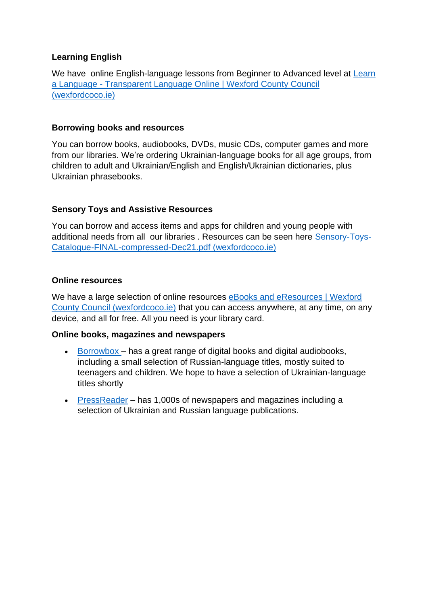# **Learning English**

We have online English-language lessons from Beginner to Advanced level at Learn a Language - [Transparent Language Online | Wexford County Council](https://www.wexfordcoco.ie/libraries/ebooks-and-eresources/learn-a-language-transparent-language-online)  [\(wexfordcoco.ie\)](https://www.wexfordcoco.ie/libraries/ebooks-and-eresources/learn-a-language-transparent-language-online)

#### **Borrowing books and resources**

You can borrow books, audiobooks, DVDs, music CDs, computer games and more from our libraries. We're ordering Ukrainian-language books for all age groups, from children to adult and Ukrainian/English and English/Ukrainian dictionaries, plus Ukrainian phrasebooks.

# **Sensory Toys and Assistive Resources**

You can borrow and access items and apps for children and young people with additional needs from all our libraries . Resources can be seen here [Sensory-Toys-](https://www.wexfordcoco.ie/sites/default/files/content/Sensory-Toys-Catalogue-FINAL-compressed-Dec21.pdf)[Catalogue-FINAL-compressed-Dec21.pdf \(wexfordcoco.ie\)](https://www.wexfordcoco.ie/sites/default/files/content/Sensory-Toys-Catalogue-FINAL-compressed-Dec21.pdf)

#### **Online resources**

We have a large selection of online resources eBooks and eResources | Wexford [County Council \(wexfordcoco.ie\)](https://www.wexfordcoco.ie/libraries/ebooks-and-eresources) that you can access anywhere, at any time, on any device, and all for free. All you need is your library card.

#### **Online books, magazines and newspapers**

- [Borrowbox](https://www.dublincity.ie/residential/libraries/using-your-library/eresources#borro) has a great range of digital books and digital audiobooks, including a small selection of Russian-language titles, mostly suited to teenagers and children. We hope to have a selection of Ukrainian-language titles shortly
- [PressReader](https://www.dublincity.ie/residential/libraries/using-your-library/eresources#pressreader) has 1,000s of newspapers and magazines including a selection of Ukrainian and Russian language publications.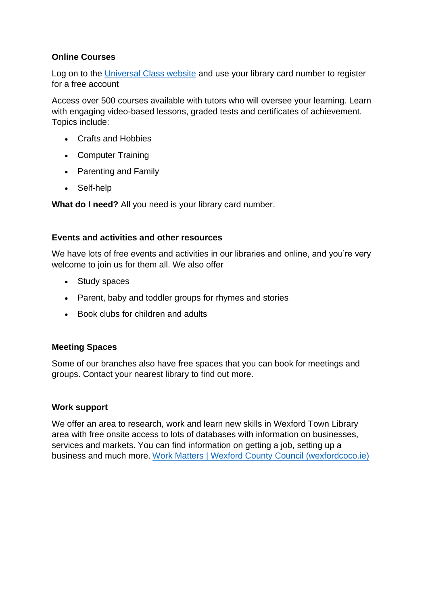# **Online Courses**

Log on to the [Universal Class website](http://lgma.universalclass.com/register.htm) and use your library card number to register for a free account

Access over 500 courses available with tutors who will oversee your learning. Learn with engaging video-based lessons, graded tests and certificates of achievement. Topics include:

- Crafts and Hobbies
- Computer Training
- Parenting and Family
- Self-help

**What do I need?** All you need is your library card number.

#### **Events and activities and other resources**

We have lots of free events and activities in our libraries and online, and you're very welcome to join us for them all. We also offer

- Study spaces
- Parent, baby and toddler groups for rhymes and stories
- Book clubs for children and adults

# **Meeting Spaces**

Some of our branches also have free spaces that you can book for meetings and groups. Contact your nearest library to find out more.

# **Work support**

We offer an area to research, work and learn new skills in Wexford Town Library area with free onsite access to lots of databases with information on businesses, services and markets. You can find information on getting a job, setting up a business and much more. [Work Matters | Wexford County Council \(wexfordcoco.ie\)](https://www.wexfordcoco.ie/libraries/more-library-services/work-matters)